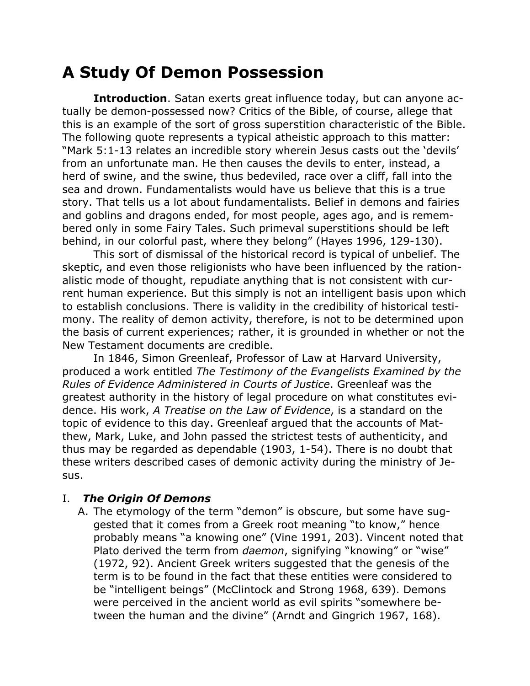# **A Study Of Demon Possession**

**Introduction**. Satan exerts great influence today, but can anyone actually be demon-possessed now? Critics of the Bible, of course, allege that this is an example of the sort of gross superstition characteristic of the Bible. The following quote represents a typical atheistic approach to this matter: "Mark 5:1-13 relates an incredible story wherein Jesus casts out the 'devils' from an unfortunate man. He then causes the devils to enter, instead, a herd of swine, and the swine, thus bedeviled, race over a cliff, fall into the sea and drown. Fundamentalists would have us believe that this is a true story. That tells us a lot about fundamentalists. Belief in demons and fairies and goblins and dragons ended, for most people, ages ago, and is remembered only in some Fairy Tales. Such primeval superstitions should be left behind, in our colorful past, where they belong" (Hayes 1996, 129-130).

This sort of dismissal of the historical record is typical of unbelief. The skeptic, and even those religionists who have been influenced by the rationalistic mode of thought, repudiate anything that is not consistent with current human experience. But this simply is not an intelligent basis upon which to establish conclusions. There is validity in the credibility of historical testimony. The reality of demon activity, therefore, is not to be determined upon the basis of current experiences; rather, it is grounded in whether or not the New Testament documents are credible.

In 1846, Simon Greenleaf, Professor of Law at Harvard University, produced a work entitled *The Testimony of the Evangelists Examined by the Rules of Evidence Administered in Courts of Justice*. Greenleaf was the greatest authority in the history of legal procedure on what constitutes evidence. His work, *A Treatise on the Law of Evidence*, is a standard on the topic of evidence to this day. Greenleaf argued that the accounts of Matthew, Mark, Luke, and John passed the strictest tests of authenticity, and thus may be regarded as dependable (1903, 1-54). There is no doubt that these writers described cases of demonic activity during the ministry of Jesus.

#### I. *The Origin Of Demons*

A. The etymology of the term "demon" is obscure, but some have suggested that it comes from a Greek root meaning "to know," hence probably means "a knowing one" (Vine 1991, 203). Vincent noted that Plato derived the term from *daemon*, signifying "knowing" or "wise" (1972, 92). Ancient Greek writers suggested that the genesis of the term is to be found in the fact that these entities were considered to be "intelligent beings" (McClintock and Strong 1968, 639). Demons were perceived in the ancient world as evil spirits "somewhere between the human and the divine" (Arndt and Gingrich 1967, 168).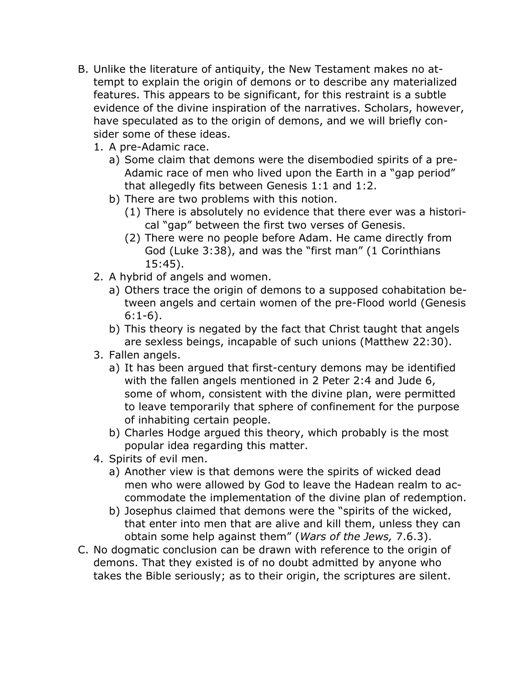- B. Unlike the literature of antiquity, the New Testament makes no attempt to explain the origin of demons or to describe any materialized features. This appears to be significant, for this restraint is a subtle evidence of the divine inspiration of the narratives. Scholars, however, have speculated as to the origin of demons, and we will briefly consider some of these ideas.
	- 1. A pre-Adamic race.
		- a) Some claim that demons were the disembodied spirits of a pre-Adamic race of men who lived upon the Earth in a "gap period" that allegedly fits between Genesis 1:1 and 1:2.
		- b) There are two problems with this notion.
			- (1) There is absolutely no evidence that there ever was a historical "gap" between the first two verses of Genesis.
			- (2) There were no people before Adam. He came directly from God (Luke 3:38), and was the "first man" (1 Corinthians 15:45).
	- 2. A hybrid of angels and women.
		- a) Others trace the origin of demons to a supposed cohabitation between angels and certain women of the pre-Flood world (Genesis 6:1-6).
		- b) This theory is negated by the fact that Christ taught that angels are sexless beings, incapable of such unions (Matthew 22:30).
	- 3. Fallen angels.
		- a) It has been argued that first-century demons may be identified with the fallen angels mentioned in 2 Peter 2:4 and Jude 6, some of whom, consistent with the divine plan, were permitted to leave temporarily that sphere of confinement for the purpose of inhabiting certain people.
		- b) Charles Hodge argued this theory, which probably is the most popular idea regarding this matter.
	- 4. Spirits of evil men.
		- a) Another view is that demons were the spirits of wicked dead men who were allowed by God to leave the Hadean realm to accommodate the implementation of the divine plan of redemption.
		- b) Josephus claimed that demons were the "spirits of the wicked, that enter into men that are alive and kill them, unless they can obtain some help against them" (*Wars of the Jews,* 7.6.3).
- C. No dogmatic conclusion can be drawn with reference to the origin of demons. That they existed is of no doubt admitted by anyone who takes the Bible seriously; as to their origin, the scriptures are silent.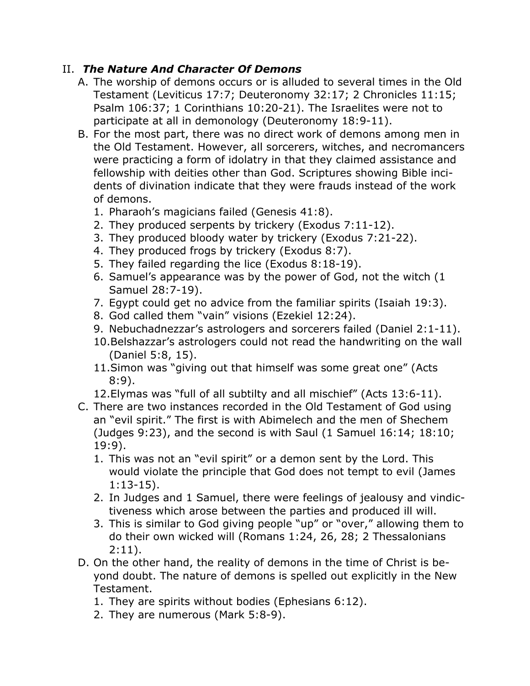### II. *The Nature And Character Of Demons*

- A. The worship of demons occurs or is alluded to several times in the Old Testament (Leviticus 17:7; Deuteronomy 32:17; 2 Chronicles 11:15; Psalm 106:37; 1 Corinthians 10:20-21). The Israelites were not to participate at all in demonology (Deuteronomy 18:9-11).
- B. For the most part, there was no direct work of demons among men in the Old Testament. However, all sorcerers, witches, and necromancers were practicing a form of idolatry in that they claimed assistance and fellowship with deities other than God. Scriptures showing Bible incidents of divination indicate that they were frauds instead of the work of demons.
	- 1. Pharaoh's magicians failed (Genesis 41:8).
	- 2. They produced serpents by trickery (Exodus 7:11-12).
	- 3. They produced bloody water by trickery (Exodus 7:21-22).
	- 4. They produced frogs by trickery (Exodus 8:7).
	- 5. They failed regarding the lice (Exodus 8:18-19).
	- 6. Samuel's appearance was by the power of God, not the witch (1 Samuel 28:7-19).
	- 7. Egypt could get no advice from the familiar spirits (Isaiah 19:3).
	- 8. God called them "vain" visions (Ezekiel 12:24).
	- 9. Nebuchadnezzar's astrologers and sorcerers failed (Daniel 2:1-11).
	- 10.Belshazzar's astrologers could not read the handwriting on the wall (Daniel 5:8, 15).
	- 11.Simon was "giving out that himself was some great one" (Acts 8:9).
	- 12.Elymas was "full of all subtilty and all mischief" (Acts 13:6-11).
- C. There are two instances recorded in the Old Testament of God using an "evil spirit." The first is with Abimelech and the men of Shechem (Judges 9:23), and the second is with Saul (1 Samuel 16:14; 18:10; 19:9).
	- 1. This was not an "evil spirit" or a demon sent by the Lord. This would violate the principle that God does not tempt to evil (James 1:13-15).
	- 2. In Judges and 1 Samuel, there were feelings of jealousy and vindictiveness which arose between the parties and produced ill will.
	- 3. This is similar to God giving people "up" or "over," allowing them to do their own wicked will (Romans 1:24, 26, 28; 2 Thessalonians 2:11).
- D. On the other hand, the reality of demons in the time of Christ is beyond doubt. The nature of demons is spelled out explicitly in the New Testament.
	- 1. They are spirits without bodies (Ephesians 6:12).
	- 2. They are numerous (Mark 5:8-9).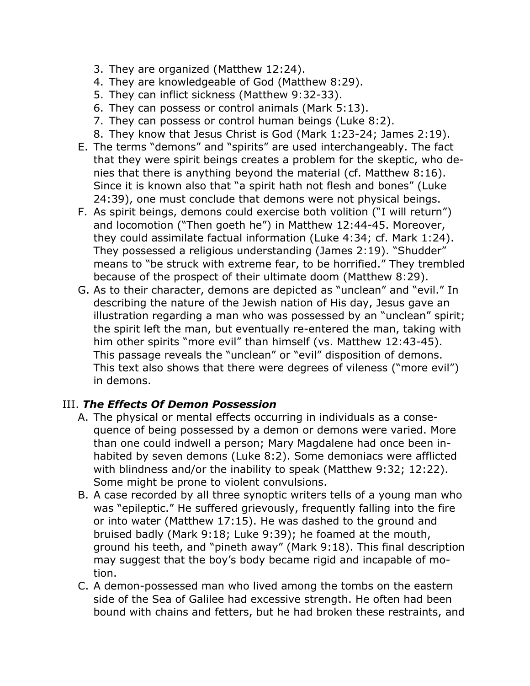- 3. They are organized (Matthew 12:24).
- 4. They are knowledgeable of God (Matthew 8:29).
- 5. They can inflict sickness (Matthew 9:32-33).
- 6. They can possess or control animals (Mark 5:13).
- 7. They can possess or control human beings (Luke 8:2).
- 8. They know that Jesus Christ is God (Mark 1:23-24; James 2:19).
- E. The terms "demons" and "spirits" are used interchangeably. The fact that they were spirit beings creates a problem for the skeptic, who denies that there is anything beyond the material (cf. Matthew 8:16). Since it is known also that "a spirit hath not flesh and bones" (Luke 24:39), one must conclude that demons were not physical beings.
- F. As spirit beings, demons could exercise both volition ("I will return") and locomotion ("Then goeth he") in Matthew 12:44-45. Moreover, they could assimilate factual information (Luke 4:34; cf. Mark 1:24). They possessed a religious understanding (James 2:19). "Shudder" means to "be struck with extreme fear, to be horrified." They trembled because of the prospect of their ultimate doom (Matthew 8:29).
- G. As to their character, demons are depicted as "unclean" and "evil." In describing the nature of the Jewish nation of His day, Jesus gave an illustration regarding a man who was possessed by an "unclean" spirit; the spirit left the man, but eventually re-entered the man, taking with him other spirits "more evil" than himself (vs. Matthew 12:43-45). This passage reveals the "unclean" or "evil" disposition of demons. This text also shows that there were degrees of vileness ("more evil") in demons.

### III. *The Effects Of Demon Possession*

- A. The physical or mental effects occurring in individuals as a consequence of being possessed by a demon or demons were varied. More than one could indwell a person; Mary Magdalene had once been inhabited by seven demons (Luke 8:2). Some demoniacs were afflicted with blindness and/or the inability to speak (Matthew 9:32; 12:22). Some might be prone to violent convulsions.
- B. A case recorded by all three synoptic writers tells of a young man who was "epileptic." He suffered grievously, frequently falling into the fire or into water (Matthew 17:15). He was dashed to the ground and bruised badly (Mark 9:18; Luke 9:39); he foamed at the mouth, ground his teeth, and "pineth away" (Mark 9:18). This final description may suggest that the boy's body became rigid and incapable of motion.
- C. A demon-possessed man who lived among the tombs on the eastern side of the Sea of Galilee had excessive strength. He often had been bound with chains and fetters, but he had broken these restraints, and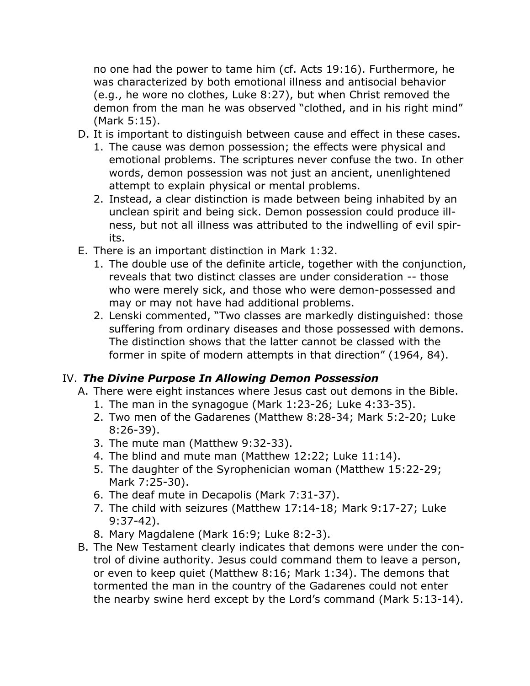no one had the power to tame him (cf. Acts 19:16). Furthermore, he was characterized by both emotional illness and antisocial behavior (e.g., he wore no clothes, Luke 8:27), but when Christ removed the demon from the man he was observed "clothed, and in his right mind" (Mark 5:15).

- D. It is important to distinguish between cause and effect in these cases.
	- 1. The cause was demon possession; the effects were physical and emotional problems. The scriptures never confuse the two. In other words, demon possession was not just an ancient, unenlightened attempt to explain physical or mental problems.
	- 2. Instead, a clear distinction is made between being inhabited by an unclean spirit and being sick. Demon possession could produce illness, but not all illness was attributed to the indwelling of evil spirits.
- E. There is an important distinction in Mark 1:32.
	- 1. The double use of the definite article, together with the conjunction, reveals that two distinct classes are under consideration -- those who were merely sick, and those who were demon-possessed and may or may not have had additional problems.
	- 2. Lenski commented, "Two classes are markedly distinguished: those suffering from ordinary diseases and those possessed with demons. The distinction shows that the latter cannot be classed with the former in spite of modern attempts in that direction" (1964, 84).

## IV. *The Divine Purpose In Allowing Demon Possession*

- A. There were eight instances where Jesus cast out demons in the Bible.
	- 1. The man in the synagogue (Mark 1:23-26; Luke 4:33-35).
	- 2. Two men of the Gadarenes (Matthew 8:28-34; Mark 5:2-20; Luke 8:26-39).
	- 3. The mute man (Matthew 9:32-33).
	- 4. The blind and mute man (Matthew 12:22; Luke 11:14).
	- 5. The daughter of the Syrophenician woman (Matthew 15:22-29; Mark 7:25-30).
	- 6. The deaf mute in Decapolis (Mark 7:31-37).
	- 7. The child with seizures (Matthew 17:14-18; Mark 9:17-27; Luke 9:37-42).
	- 8. Mary Magdalene (Mark 16:9; Luke 8:2-3).
- B. The New Testament clearly indicates that demons were under the control of divine authority. Jesus could command them to leave a person, or even to keep quiet (Matthew 8:16; Mark 1:34). The demons that tormented the man in the country of the Gadarenes could not enter the nearby swine herd except by the Lord's command (Mark 5:13-14).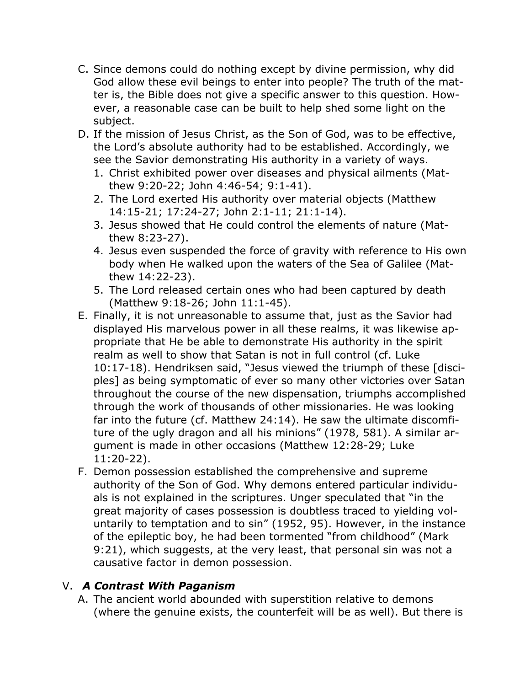- C. Since demons could do nothing except by divine permission, why did God allow these evil beings to enter into people? The truth of the matter is, the Bible does not give a specific answer to this question. However, a reasonable case can be built to help shed some light on the subject.
- D. If the mission of Jesus Christ, as the Son of God, was to be effective, the Lord's absolute authority had to be established. Accordingly, we see the Savior demonstrating His authority in a variety of ways.
	- 1. Christ exhibited power over diseases and physical ailments (Matthew 9:20-22; John 4:46-54; 9:1-41).
	- 2. The Lord exerted His authority over material objects (Matthew 14:15-21; 17:24-27; John 2:1-11; 21:1-14).
	- 3. Jesus showed that He could control the elements of nature (Matthew 8:23-27).
	- 4. Jesus even suspended the force of gravity with reference to His own body when He walked upon the waters of the Sea of Galilee (Matthew 14:22-23).
	- 5. The Lord released certain ones who had been captured by death (Matthew 9:18-26; John 11:1-45).
- E. Finally, it is not unreasonable to assume that, just as the Savior had displayed His marvelous power in all these realms, it was likewise appropriate that He be able to demonstrate His authority in the spirit realm as well to show that Satan is not in full control (cf. Luke 10:17-18). Hendriksen said, "Jesus viewed the triumph of these [disciples] as being symptomatic of ever so many other victories over Satan throughout the course of the new dispensation, triumphs accomplished through the work of thousands of other missionaries. He was looking far into the future (cf. Matthew 24:14). He saw the ultimate discomfiture of the ugly dragon and all his minions" (1978, 581). A similar argument is made in other occasions (Matthew 12:28-29; Luke 11:20-22).
- F. Demon possession established the comprehensive and supreme authority of the Son of God. Why demons entered particular individuals is not explained in the scriptures. Unger speculated that "in the great majority of cases possession is doubtless traced to yielding voluntarily to temptation and to sin" (1952, 95). However, in the instance of the epileptic boy, he had been tormented "from childhood" (Mark 9:21), which suggests, at the very least, that personal sin was not a causative factor in demon possession.

### V. *A Contrast With Paganism*

A. The ancient world abounded with superstition relative to demons (where the genuine exists, the counterfeit will be as well). But there is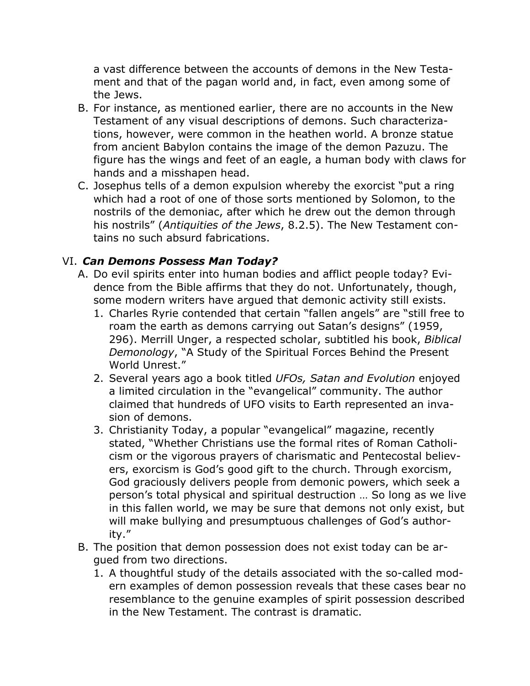a vast difference between the accounts of demons in the New Testament and that of the pagan world and, in fact, even among some of the Jews.

- B. For instance, as mentioned earlier, there are no accounts in the New Testament of any visual descriptions of demons. Such characterizations, however, were common in the heathen world. A bronze statue from ancient Babylon contains the image of the demon Pazuzu. The figure has the wings and feet of an eagle, a human body with claws for hands and a misshapen head.
- C. Josephus tells of a demon expulsion whereby the exorcist "put a ring which had a root of one of those sorts mentioned by Solomon, to the nostrils of the demoniac, after which he drew out the demon through his nostrils" (*Antiquities of the Jews*, 8.2.5). The New Testament contains no such absurd fabrications.

### VI. *Can Demons Possess Man Today?*

- A. Do evil spirits enter into human bodies and afflict people today? Evidence from the Bible affirms that they do not. Unfortunately, though, some modern writers have argued that demonic activity still exists.
	- 1. Charles Ryrie contended that certain "fallen angels" are "still free to roam the earth as demons carrying out Satan's designs" (1959, 296). Merrill Unger, a respected scholar, subtitled his book, *Biblical Demonology*, "A Study of the Spiritual Forces Behind the Present World Unrest."
	- 2. Several years ago a book titled *UFOs, Satan and Evolution* enjoyed a limited circulation in the "evangelical" community. The author claimed that hundreds of UFO visits to Earth represented an invasion of demons.
	- 3. Christianity Today, a popular "evangelical" magazine, recently stated, "Whether Christians use the formal rites of Roman Catholicism or the vigorous prayers of charismatic and Pentecostal believers, exorcism is God's good gift to the church. Through exorcism, God graciously delivers people from demonic powers, which seek a person's total physical and spiritual destruction … So long as we live in this fallen world, we may be sure that demons not only exist, but will make bullying and presumptuous challenges of God's authority."
- B. The position that demon possession does not exist today can be argued from two directions.
	- 1. A thoughtful study of the details associated with the so-called modern examples of demon possession reveals that these cases bear no resemblance to the genuine examples of spirit possession described in the New Testament. The contrast is dramatic.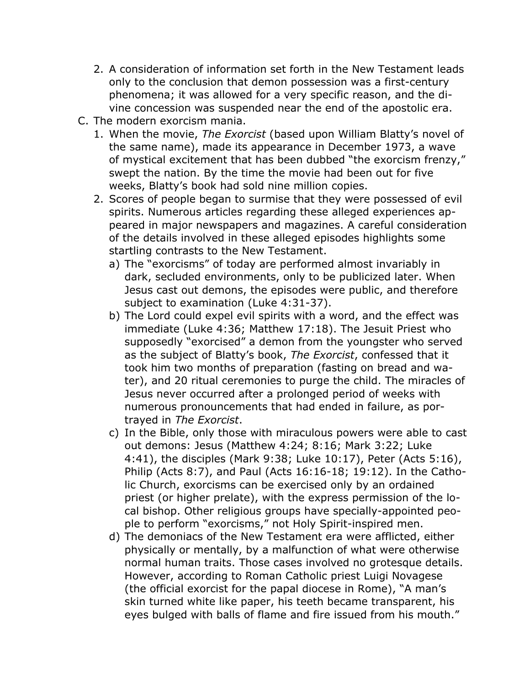- 2. A consideration of information set forth in the New Testament leads only to the conclusion that demon possession was a first-century phenomena; it was allowed for a very specific reason, and the divine concession was suspended near the end of the apostolic era.
- C. The modern exorcism mania.
	- 1. When the movie, *The Exorcist* (based upon William Blatty's novel of the same name), made its appearance in December 1973, a wave of mystical excitement that has been dubbed "the exorcism frenzy," swept the nation. By the time the movie had been out for five weeks, Blatty's book had sold nine million copies.
	- 2. Scores of people began to surmise that they were possessed of evil spirits. Numerous articles regarding these alleged experiences appeared in major newspapers and magazines. A careful consideration of the details involved in these alleged episodes highlights some startling contrasts to the New Testament.
		- a) The "exorcisms" of today are performed almost invariably in dark, secluded environments, only to be publicized later. When Jesus cast out demons, the episodes were public, and therefore subject to examination (Luke 4:31-37).
		- b) The Lord could expel evil spirits with a word, and the effect was immediate (Luke 4:36; Matthew 17:18). The Jesuit Priest who supposedly "exorcised" a demon from the youngster who served as the subject of Blatty's book, *The Exorcist*, confessed that it took him two months of preparation (fasting on bread and water), and 20 ritual ceremonies to purge the child. The miracles of Jesus never occurred after a prolonged period of weeks with numerous pronouncements that had ended in failure, as portrayed in *The Exorcist*.
		- c) In the Bible, only those with miraculous powers were able to cast out demons: Jesus (Matthew 4:24; 8:16; Mark 3:22; Luke 4:41), the disciples (Mark 9:38; Luke 10:17), Peter (Acts 5:16), Philip (Acts 8:7), and Paul (Acts 16:16-18; 19:12). In the Catholic Church, exorcisms can be exercised only by an ordained priest (or higher prelate), with the express permission of the local bishop. Other religious groups have specially-appointed people to perform "exorcisms," not Holy Spirit-inspired men.
		- d) The demoniacs of the New Testament era were afflicted, either physically or mentally, by a malfunction of what were otherwise normal human traits. Those cases involved no grotesque details. However, according to Roman Catholic priest Luigi Novagese (the official exorcist for the papal diocese in Rome), "A man's skin turned white like paper, his teeth became transparent, his eyes bulged with balls of flame and fire issued from his mouth."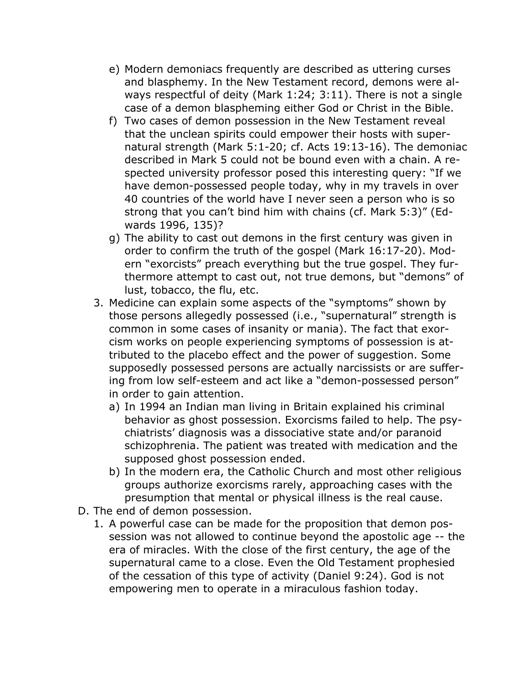- e) Modern demoniacs frequently are described as uttering curses and blasphemy. In the New Testament record, demons were always respectful of deity (Mark 1:24; 3:11). There is not a single case of a demon blaspheming either God or Christ in the Bible.
- f) Two cases of demon possession in the New Testament reveal that the unclean spirits could empower their hosts with supernatural strength (Mark 5:1-20; cf. Acts 19:13-16). The demoniac described in Mark 5 could not be bound even with a chain. A respected university professor posed this interesting query: "If we have demon-possessed people today, why in my travels in over 40 countries of the world have I never seen a person who is so strong that you can't bind him with chains (cf. Mark 5:3)" (Edwards 1996, 135)?
- g) The ability to cast out demons in the first century was given in order to confirm the truth of the gospel (Mark 16:17-20). Modern "exorcists" preach everything but the true gospel. They furthermore attempt to cast out, not true demons, but "demons" of lust, tobacco, the flu, etc.
- 3. Medicine can explain some aspects of the "symptoms" shown by those persons allegedly possessed (i.e., "supernatural" strength is common in some cases of insanity or mania). The fact that exorcism works on people experiencing symptoms of possession is attributed to the placebo effect and the power of suggestion. Some supposedly possessed persons are actually narcissists or are suffering from low self-esteem and act like a "demon-possessed person" in order to gain attention.
	- a) In 1994 an Indian man living in Britain explained his criminal behavior as ghost possession. Exorcisms failed to help. The psychiatrists' diagnosis was a dissociative state and/or paranoid schizophrenia. The patient was treated with medication and the supposed ghost possession ended.
	- b) In the modern era, the Catholic Church and most other religious groups authorize exorcisms rarely, approaching cases with the presumption that mental or physical illness is the real cause.
- D. The end of demon possession.
	- 1. A powerful case can be made for the proposition that demon possession was not allowed to continue beyond the apostolic age -- the era of miracles. With the close of the first century, the age of the supernatural came to a close. Even the Old Testament prophesied of the cessation of this type of activity (Daniel 9:24). God is not empowering men to operate in a miraculous fashion today.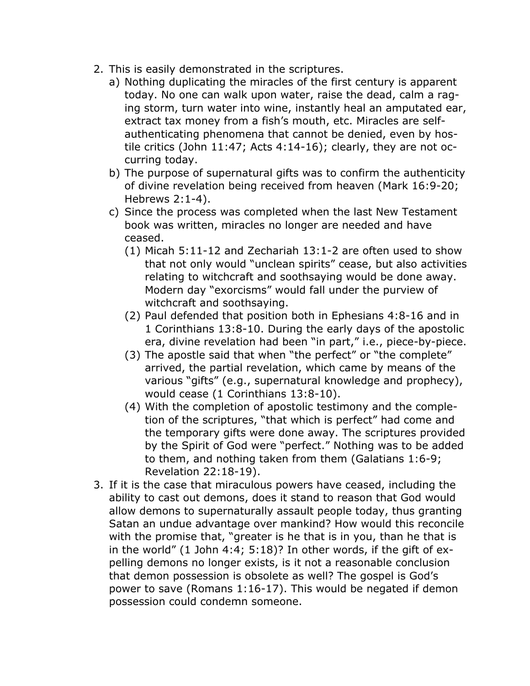- 2. This is easily demonstrated in the scriptures.
	- a) Nothing duplicating the miracles of the first century is apparent today. No one can walk upon water, raise the dead, calm a raging storm, turn water into wine, instantly heal an amputated ear, extract tax money from a fish's mouth, etc. Miracles are selfauthenticating phenomena that cannot be denied, even by hostile critics (John 11:47; Acts 4:14-16); clearly, they are not occurring today.
	- b) The purpose of supernatural gifts was to confirm the authenticity of divine revelation being received from heaven (Mark 16:9-20; Hebrews 2:1-4).
	- c) Since the process was completed when the last New Testament book was written, miracles no longer are needed and have ceased.
		- (1) Micah 5:11-12 and Zechariah 13:1-2 are often used to show that not only would "unclean spirits" cease, but also activities relating to witchcraft and soothsaying would be done away. Modern day "exorcisms" would fall under the purview of witchcraft and soothsaying.
		- (2) Paul defended that position both in Ephesians 4:8-16 and in 1 Corinthians 13:8-10. During the early days of the apostolic era, divine revelation had been "in part," i.e., piece-by-piece.
		- (3) The apostle said that when "the perfect" or "the complete" arrived, the partial revelation, which came by means of the various "gifts" (e.g., supernatural knowledge and prophecy), would cease (1 Corinthians 13:8-10).
		- (4) With the completion of apostolic testimony and the completion of the scriptures, "that which is perfect" had come and the temporary gifts were done away. The scriptures provided by the Spirit of God were "perfect." Nothing was to be added to them, and nothing taken from them (Galatians 1:6-9; Revelation 22:18-19).
- 3. If it is the case that miraculous powers have ceased, including the ability to cast out demons, does it stand to reason that God would allow demons to supernaturally assault people today, thus granting Satan an undue advantage over mankind? How would this reconcile with the promise that, "greater is he that is in you, than he that is in the world" (1 John 4:4; 5:18)? In other words, if the gift of expelling demons no longer exists, is it not a reasonable conclusion that demon possession is obsolete as well? The gospel is God's power to save (Romans 1:16-17). This would be negated if demon possession could condemn someone.